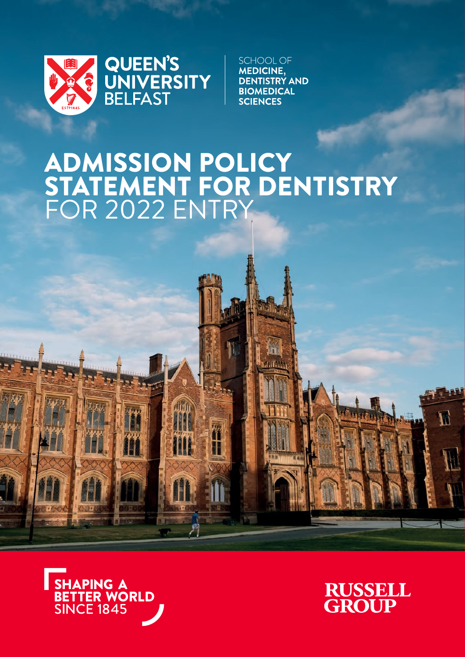

**SCHOOL OF MEDICINE, DENTISTRY AND BIOMEDICAL SCIENCES** 

# ADMISSION POLICY<br>STATEMENT FOR DENTISTRY<br>FOR 2022 ENTRY

Affifth

ł

ĪĪ





 $I\!\!L$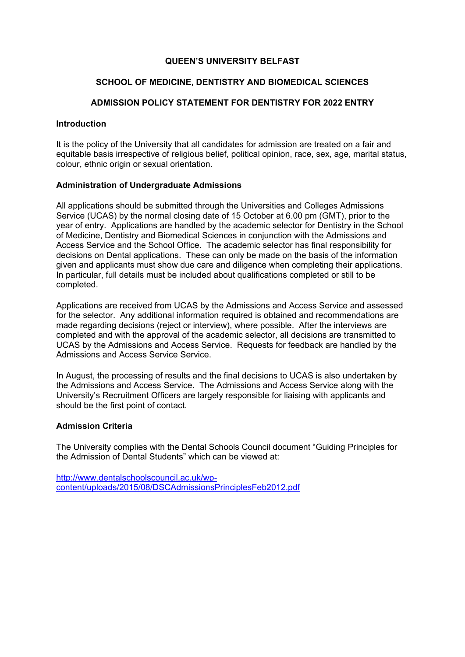### **QUEEN'S UNIVERSITY BELFAST**

## **SCHOOL OF MEDICINE, DENTISTRY AND BIOMEDICAL SCIENCES**

## **ADMISSION POLICY STATEMENT FOR DENTISTRY FOR 2022 ENTRY**

### **Introduction**

It is the policy of the University that all candidates for admission are treated on a fair and equitable basis irrespective of religious belief, political opinion, race, sex, age, marital status, colour, ethnic origin or sexual orientation.

## **Administration of Undergraduate Admissions**

All applications should be submitted through the Universities and Colleges Admissions Service (UCAS) by the normal closing date of 15 October at 6.00 pm (GMT), prior to the year of entry. Applications are handled by the academic selector for Dentistry in the School of Medicine, Dentistry and Biomedical Sciences in conjunction with the Admissions and Access Service and the School Office. The academic selector has final responsibility for decisions on Dental applications. These can only be made on the basis of the information given and applicants must show due care and diligence when completing their applications. In particular, full details must be included about qualifications completed or still to be completed.

Applications are received from UCAS by the Admissions and Access Service and assessed for the selector. Any additional information required is obtained and recommendations are made regarding decisions (reject or interview), where possible. After the interviews are completed and with the approval of the academic selector, all decisions are transmitted to UCAS by the Admissions and Access Service. Requests for feedback are handled by the Admissions and Access Service Service.

In August, the processing of results and the final decisions to UCAS is also undertaken by the Admissions and Access Service. The Admissions and Access Service along with the University's Recruitment Officers are largely responsible for liaising with applicants and should be the first point of contact.

## **Admission Criteria**

The University complies with the Dental Schools Council document "Guiding Principles for the Admission of Dental Students" which can be viewed at:

http://www.dentalschoolscouncil.ac.uk/wpcontent/uploads/2015/08/DSCAdmissionsPrinciplesFeb2012.pdf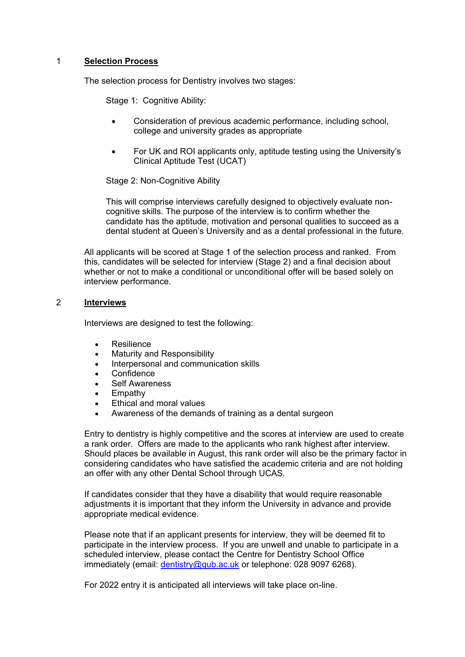## 1 **Selection Process**

The selection process for Dentistry involves two stages:

Stage 1: Cognitive Ability:

- Consideration of previous academic performance, including school, college and university grades as appropriate
- For UK and ROI applicants only, aptitude testing using the University's Clinical Aptitude Test (UCAT)

Stage 2: Non-Cognitive Ability

This will comprise interviews carefully designed to objectively evaluate noncognitive skills. The purpose of the interview is to confirm whether the candidate has the aptitude, motivation and personal qualities to succeed as a dental student at Queen's University and as a dental professional in the future.

All applicants will be scored at Stage 1 of the selection process and ranked. From this, candidates will be selected for interview (Stage 2) and a final decision about whether or not to make a conditional or unconditional offer will be based solely on interview performance.

## 2 **Interviews**

Interviews are designed to test the following:

- Resilience
- Maturity and Responsibility
- Interpersonal and communication skills
- **Confidence**
- Self Awareness
- Empathy
- Ethical and moral values
- Awareness of the demands of training as a dental surgeon

Entry to dentistry is highly competitive and the scores at interview are used to create a rank order. Offers are made to the applicants who rank highest after interview. Should places be available in August, this rank order will also be the primary factor in considering candidates who have satisfied the academic criteria and are not holding an offer with any other Dental School through UCAS.

If candidates consider that they have a disability that would require reasonable adjustments it is important that they inform the University in advance and provide appropriate medical evidence.

Please note that if an applicant presents for interview, they will be deemed fit to participate in the interview process. If you are unwell and unable to participate in a scheduled interview, please contact the Centre for Dentistry School Office immediately (email: dentistry@qub.ac.uk or telephone: 028 9097 6268).

For 2022 entry it is anticipated all interviews will take place on-line.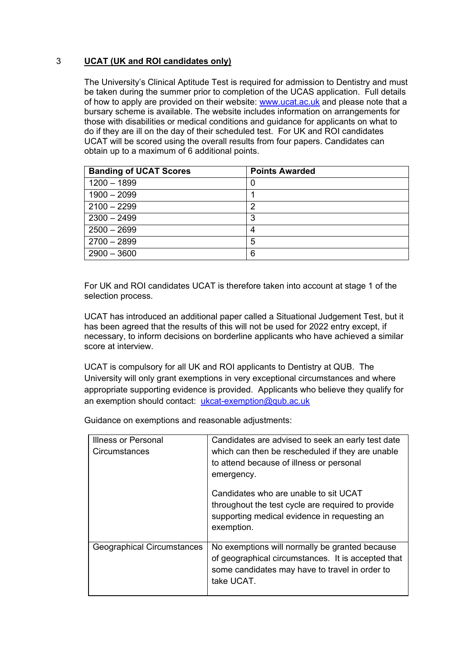# 3 **UCAT (UK and ROI candidates only)**

The University's Clinical Aptitude Test is required for admission to Dentistry and must be taken during the summer prior to completion of the UCAS application. Full details of how to apply are provided on their website: www.ucat.ac.uk and please note that a bursary scheme is available. The website includes information on arrangements for those with disabilities or medical conditions and guidance for applicants on what to do if they are ill on the day of their scheduled test. For UK and ROI candidates UCAT will be scored using the overall results from four papers. Candidates can obtain up to a maximum of 6 additional points.

| <b>Banding of UCAT Scores</b> | <b>Points Awarded</b> |
|-------------------------------|-----------------------|
| $1200 - 1899$                 | U                     |
| $1900 - 2099$                 |                       |
| $2100 - 2299$                 | າ                     |
| $2300 - 2499$                 | 3                     |
| $2500 - 2699$                 |                       |
| $2700 - 2899$                 | 5                     |
| $2900 - 3600$                 | 6                     |

For UK and ROI candidates UCAT is therefore taken into account at stage 1 of the selection process.

UCAT has introduced an additional paper called a Situational Judgement Test, but it has been agreed that the results of this will not be used for 2022 entry except, if necessary, to inform decisions on borderline applicants who have achieved a similar score at interview.

UCAT is compulsory for all UK and ROI applicants to Dentistry at QUB. The University will only grant exemptions in very exceptional circumstances and where appropriate supporting evidence is provided. Applicants who believe they qualify for an exemption should contact: ukcat-exemption@qub.ac.uk

Guidance on exemptions and reasonable adjustments:

| Illness or Personal<br>Circumstances | Candidates are advised to seek an early test date<br>which can then be rescheduled if they are unable<br>to attend because of illness or personal<br>emergency.      |
|--------------------------------------|----------------------------------------------------------------------------------------------------------------------------------------------------------------------|
|                                      | Candidates who are unable to sit UCAT<br>throughout the test cycle are required to provide<br>supporting medical evidence in requesting an<br>exemption.             |
| Geographical Circumstances           | No exemptions will normally be granted because<br>of geographical circumstances. It is accepted that<br>some candidates may have to travel in order to<br>take UCAT. |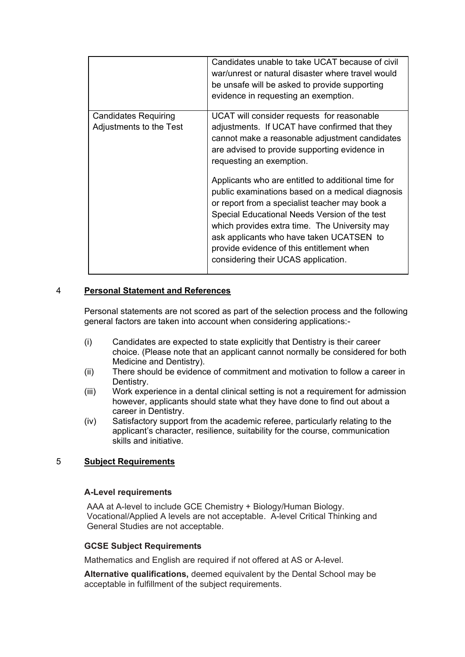|                                                        | Candidates unable to take UCAT because of civil<br>war/unrest or natural disaster where travel would<br>be unsafe will be asked to provide supporting<br>evidence in requesting an exemption.                                                                                                                                                                                              |
|--------------------------------------------------------|--------------------------------------------------------------------------------------------------------------------------------------------------------------------------------------------------------------------------------------------------------------------------------------------------------------------------------------------------------------------------------------------|
| <b>Candidates Requiring</b><br>Adjustments to the Test | UCAT will consider requests for reasonable<br>adjustments. If UCAT have confirmed that they<br>cannot make a reasonable adjustment candidates<br>are advised to provide supporting evidence in<br>requesting an exemption.                                                                                                                                                                 |
|                                                        | Applicants who are entitled to additional time for<br>public examinations based on a medical diagnosis<br>or report from a specialist teacher may book a<br>Special Educational Needs Version of the test<br>which provides extra time. The University may<br>ask applicants who have taken UCATSEN to<br>provide evidence of this entitlement when<br>considering their UCAS application. |

## 4 **Personal Statement and References**

Personal statements are not scored as part of the selection process and the following general factors are taken into account when considering applications:-

- (i) Candidates are expected to state explicitly that Dentistry is their career choice. (Please note that an applicant cannot normally be considered for both Medicine and Dentistry).
- (ii) There should be evidence of commitment and motivation to follow a career in Dentistry.
- (iii) Work experience in a dental clinical setting is not a requirement for admission however, applicants should state what they have done to find out about a career in Dentistry.
- (iv) Satisfactory support from the academic referee, particularly relating to the applicant's character, resilience, suitability for the course, communication skills and initiative.

# 5 **Subject Requirements**

#### **A-Level requirements**

AAA at A-level to include GCE Chemistry + Biology/Human Biology. Vocational/Applied A levels are not acceptable. A-level Critical Thinking and General Studies are not acceptable.

#### **GCSE Subject Requirements**

Mathematics and English are required if not offered at AS or A-level.

**Alternative qualifications,** deemed equivalent by the Dental School may be acceptable in fulfillment of the subject requirements.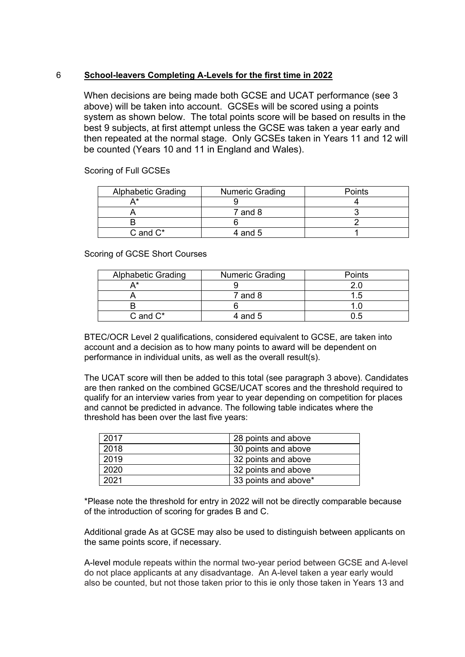## 6 **School-leavers Completing A-Levels for the first time in 2022**

When decisions are being made both GCSE and UCAT performance (see 3 above) will be taken into account. GCSEs will be scored using a points system as shown below. The total points score will be based on results in the best 9 subjects, at first attempt unless the GCSE was taken a year early and then repeated at the normal stage. Only GCSEs taken in Years 11 and 12 will be counted (Years 10 and 11 in England and Wales).

Scoring of Full GCSEs

| <b>Alphabetic Grading</b> | <b>Numeric Grading</b> | Points |
|---------------------------|------------------------|--------|
|                           |                        |        |
|                           | $7$ and $8$            |        |
|                           |                        |        |
| $C$ and $C^*$             | 4 and 5                |        |

Scoring of GCSE Short Courses

| <b>Alphabetic Grading</b> | <b>Numeric Grading</b> | <b>Points</b> |
|---------------------------|------------------------|---------------|
|                           |                        |               |
|                           | $7$ and $8$            | ∣ ካ           |
|                           |                        |               |
| $C$ and $C^*$             | 4 and $5$              |               |

BTEC/OCR Level 2 qualifications, considered equivalent to GCSE, are taken into account and a decision as to how many points to award will be dependent on performance in individual units, as well as the overall result(s).

The UCAT score will then be added to this total (see paragraph 3 above). Candidates are then ranked on the combined GCSE/UCAT scores and the threshold required to qualify for an interview varies from year to year depending on competition for places and cannot be predicted in advance. The following table indicates where the threshold has been over the last five years:

| 2017 | 28 points and above  |
|------|----------------------|
| 2018 | 30 points and above  |
| 2019 | 32 points and above  |
| 2020 | 32 points and above  |
| 2021 | 33 points and above* |

\*Please note the threshold for entry in 2022 will not be directly comparable because of the introduction of scoring for grades B and C.

Additional grade As at GCSE may also be used to distinguish between applicants on the same points score, if necessary.

A-level module repeats within the normal two-year period between GCSE and A-level do not place applicants at any disadvantage. An A-level taken a year early would also be counted, but not those taken prior to this ie only those taken in Years 13 and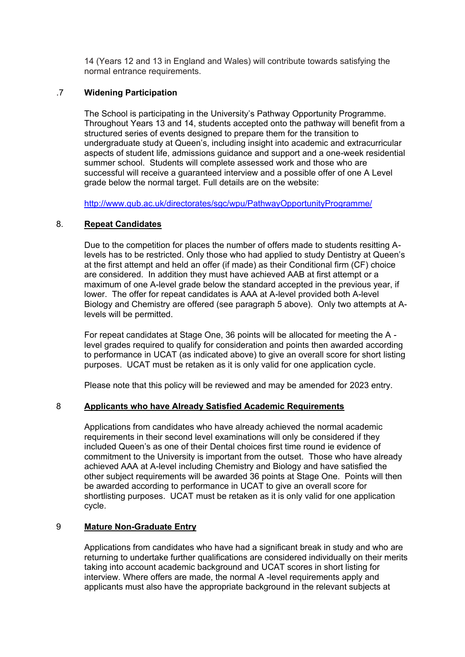14 (Years 12 and 13 in England and Wales) will contribute towards satisfying the normal entrance requirements.

## .7 **Widening Participation**

The School is participating in the University's Pathway Opportunity Programme. Throughout Years 13 and 14, students accepted onto the pathway will benefit from a structured series of events designed to prepare them for the transition to undergraduate study at Queen's, including insight into academic and extracurricular aspects of student life, admissions guidance and support and a one-week residential summer school. Students will complete assessed work and those who are successful will receive a guaranteed interview and a possible offer of one A Level grade below the normal target. Full details are on the website:

http://www.qub.ac.uk/directorates/sgc/wpu/PathwayOpportunityProgramme/

## 8. **Repeat Candidates**

Due to the competition for places the number of offers made to students resitting Alevels has to be restricted. Only those who had applied to study Dentistry at Queen's at the first attempt and held an offer (if made) as their Conditional firm (CF) choice are considered. In addition they must have achieved AAB at first attempt or a maximum of one A-level grade below the standard accepted in the previous year, if lower. The offer for repeat candidates is AAA at A-level provided both A-level Biology and Chemistry are offered (see paragraph 5 above). Only two attempts at Alevels will be permitted.

For repeat candidates at Stage One, 36 points will be allocated for meeting the A level grades required to qualify for consideration and points then awarded according to performance in UCAT (as indicated above) to give an overall score for short listing purposes. UCAT must be retaken as it is only valid for one application cycle.

Please note that this policy will be reviewed and may be amended for 2023 entry.

## 8 **Applicants who have Already Satisfied Academic Requirements**

Applications from candidates who have already achieved the normal academic requirements in their second level examinations will only be considered if they included Queen's as one of their Dental choices first time round ie evidence of commitment to the University is important from the outset. Those who have already achieved AAA at A-level including Chemistry and Biology and have satisfied the other subject requirements will be awarded 36 points at Stage One. Points will then be awarded according to performance in UCAT to give an overall score for shortlisting purposes. UCAT must be retaken as it is only valid for one application cycle.

## 9 **Mature Non-Graduate Entry**

Applications from candidates who have had a significant break in study and who are returning to undertake further qualifications are considered individually on their merits taking into account academic background and UCAT scores in short listing for interview. Where offers are made, the normal A -level requirements apply and applicants must also have the appropriate background in the relevant subjects at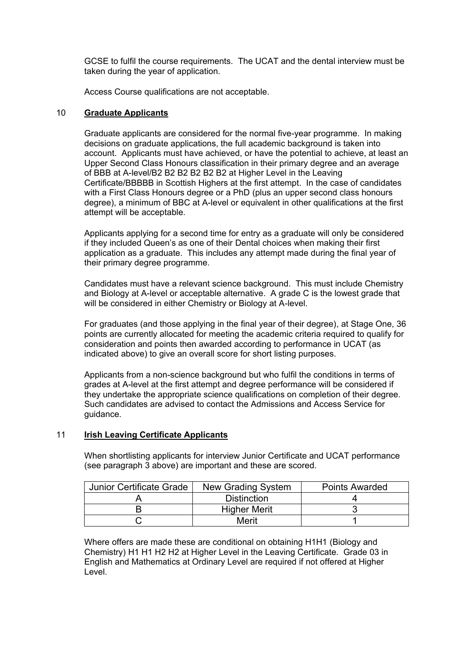GCSE to fulfil the course requirements. The UCAT and the dental interview must be taken during the year of application.

Access Course qualifications are not acceptable.

## 10 **Graduate Applicants**

Graduate applicants are considered for the normal five-year programme. In making decisions on graduate applications, the full academic background is taken into account. Applicants must have achieved, or have the potential to achieve, at least an Upper Second Class Honours classification in their primary degree and an average of BBB at A-level/B2 B2 B2 B2 B2 B2 at Higher Level in the Leaving Certificate/BBBBB in Scottish Highers at the first attempt. In the case of candidates with a First Class Honours degree or a PhD (plus an upper second class honours degree), a minimum of BBC at A-level or equivalent in other qualifications at the first attempt will be acceptable.

Applicants applying for a second time for entry as a graduate will only be considered if they included Queen's as one of their Dental choices when making their first application as a graduate. This includes any attempt made during the final year of their primary degree programme.

Candidates must have a relevant science background. This must include Chemistry and Biology at A-level or acceptable alternative. A grade C is the lowest grade that will be considered in either Chemistry or Biology at A-level.

For graduates (and those applying in the final year of their degree), at Stage One, 36 points are currently allocated for meeting the academic criteria required to qualify for consideration and points then awarded according to performance in UCAT (as indicated above) to give an overall score for short listing purposes.

Applicants from a non-science background but who fulfil the conditions in terms of grades at A-level at the first attempt and degree performance will be considered if they undertake the appropriate science qualifications on completion of their degree. Such candidates are advised to contact the Admissions and Access Service for guidance.

# 11 **Irish Leaving Certificate Applicants**

When shortlisting applicants for interview Junior Certificate and UCAT performance (see paragraph 3 above) are important and these are scored.

| <b>Junior Certificate Grade</b> | New Grading System  | <b>Points Awarded</b> |
|---------------------------------|---------------------|-----------------------|
|                                 | <b>Distinction</b>  |                       |
|                                 | <b>Higher Merit</b> |                       |
|                                 | Merit               |                       |

Where offers are made these are conditional on obtaining H1H1 (Biology and Chemistry) H1 H1 H2 H2 at Higher Level in the Leaving Certificate. Grade 03 in English and Mathematics at Ordinary Level are required if not offered at Higher Level.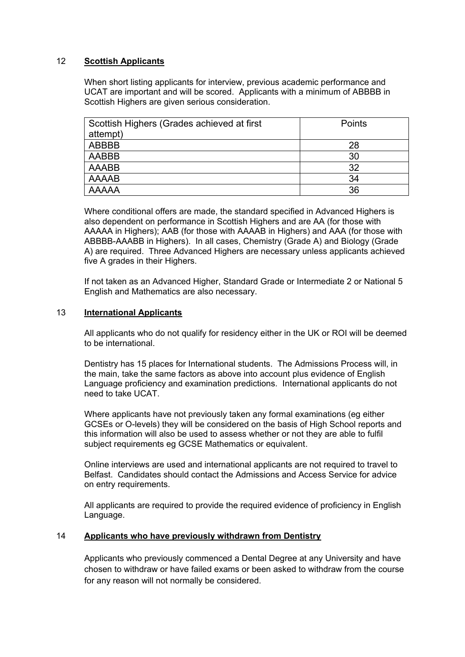## 12 **Scottish Applicants**

When short listing applicants for interview, previous academic performance and UCAT are important and will be scored. Applicants with a minimum of ABBBB in Scottish Highers are given serious consideration.

| Scottish Highers (Grades achieved at first | Points |
|--------------------------------------------|--------|
| attempt)                                   |        |
| <b>ABBBB</b>                               | 28     |
| AABBB                                      | 30     |
| AAABB                                      | 32     |
| <b>AAAAB</b>                               | 34     |
| <b>AAAAA</b>                               | 36     |

Where conditional offers are made, the standard specified in Advanced Highers is also dependent on performance in Scottish Highers and are AA (for those with AAAAA in Highers); AAB (for those with AAAAB in Highers) and AAA (for those with ABBBB-AAABB in Highers). In all cases, Chemistry (Grade A) and Biology (Grade A) are required. Three Advanced Highers are necessary unless applicants achieved five A grades in their Highers.

If not taken as an Advanced Higher, Standard Grade or Intermediate 2 or National 5 English and Mathematics are also necessary.

### 13 **International Applicants**

All applicants who do not qualify for residency either in the UK or ROI will be deemed to be international.

Dentistry has 15 places for International students. The Admissions Process will, in the main, take the same factors as above into account plus evidence of English Language proficiency and examination predictions. International applicants do not need to take UCAT.

Where applicants have not previously taken any formal examinations (eg either GCSEs or O-levels) they will be considered on the basis of High School reports and this information will also be used to assess whether or not they are able to fulfil subject requirements eg GCSE Mathematics or equivalent.

Online interviews are used and international applicants are not required to travel to Belfast. Candidates should contact the Admissions and Access Service for advice on entry requirements.

All applicants are required to provide the required evidence of proficiency in English Language.

#### 14 **Applicants who have previously withdrawn from Dentistry**

Applicants who previously commenced a Dental Degree at any University and have chosen to withdraw or have failed exams or been asked to withdraw from the course for any reason will not normally be considered.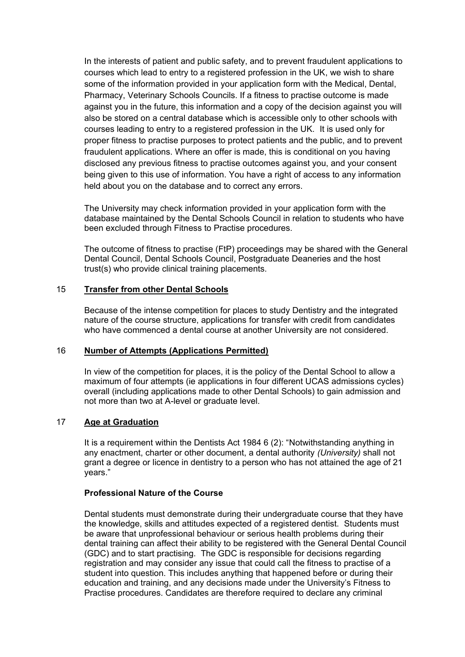In the interests of patient and public safety, and to prevent fraudulent applications to courses which lead to entry to a registered profession in the UK, we wish to share some of the information provided in your application form with the Medical, Dental, Pharmacy, Veterinary Schools Councils. If a fitness to practise outcome is made against you in the future, this information and a copy of the decision against you will also be stored on a central database which is accessible only to other schools with courses leading to entry to a registered profession in the UK. It is used only for proper fitness to practise purposes to protect patients and the public, and to prevent fraudulent applications. Where an offer is made, this is conditional on you having disclosed any previous fitness to practise outcomes against you, and your consent being given to this use of information. You have a right of access to any information held about you on the database and to correct any errors.

The University may check information provided in your application form with the database maintained by the Dental Schools Council in relation to students who have been excluded through Fitness to Practise procedures.

The outcome of fitness to practise (FtP) proceedings may be shared with the General Dental Council, Dental Schools Council, Postgraduate Deaneries and the host trust(s) who provide clinical training placements.

## 15 **Transfer from other Dental Schools**

Because of the intense competition for places to study Dentistry and the integrated nature of the course structure, applications for transfer with credit from candidates who have commenced a dental course at another University are not considered.

#### 16 **Number of Attempts (Applications Permitted)**

In view of the competition for places, it is the policy of the Dental School to allow a maximum of four attempts (ie applications in four different UCAS admissions cycles) overall (including applications made to other Dental Schools) to gain admission and not more than two at A-level or graduate level.

## 17 **Age at Graduation**

It is a requirement within the Dentists Act 1984 6 (2): "Notwithstanding anything in any enactment, charter or other document, a dental authority *(University)* shall not grant a degree or licence in dentistry to a person who has not attained the age of 21 years."

#### **Professional Nature of the Course**

Dental students must demonstrate during their undergraduate course that they have the knowledge, skills and attitudes expected of a registered dentist. Students must be aware that unprofessional behaviour or serious health problems during their dental training can affect their ability to be registered with the General Dental Council (GDC) and to start practising. The GDC is responsible for decisions regarding registration and may consider any issue that could call the fitness to practise of a student into question. This includes anything that happened before or during their education and training, and any decisions made under the University's Fitness to Practise procedures. Candidates are therefore required to declare any criminal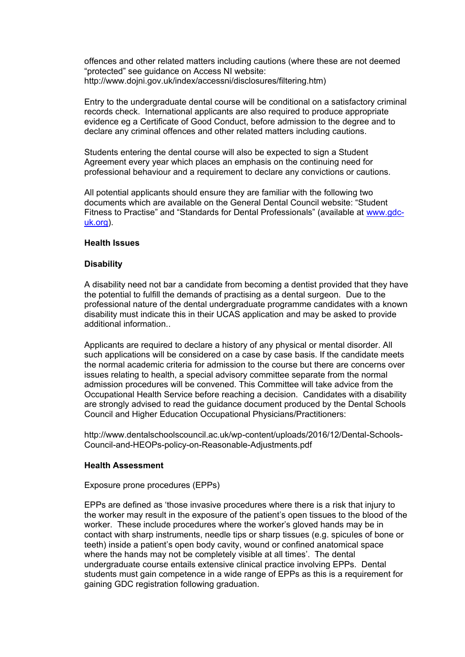offences and other related matters including cautions (where these are not deemed "protected" see guidance on Access NI website: http://www.dojni.gov.uk/index/accessni/disclosures/filtering.htm)

Entry to the undergraduate dental course will be conditional on a satisfactory criminal records check. International applicants are also required to produce appropriate evidence eg a Certificate of Good Conduct, before admission to the degree and to declare any criminal offences and other related matters including cautions.

Students entering the dental course will also be expected to sign a Student Agreement every year which places an emphasis on the continuing need for professional behaviour and a requirement to declare any convictions or cautions.

All potential applicants should ensure they are familiar with the following two documents which are available on the General Dental Council website: "Student Fitness to Practise" and "Standards for Dental Professionals" (available at www.gdcuk.org).

#### **Health Issues**

## **Disability**

A disability need not bar a candidate from becoming a dentist provided that they have the potential to fulfill the demands of practising as a dental surgeon. Due to the professional nature of the dental undergraduate programme candidates with a known disability must indicate this in their UCAS application and may be asked to provide additional information..

Applicants are required to declare a history of any physical or mental disorder. All such applications will be considered on a case by case basis. If the candidate meets the normal academic criteria for admission to the course but there are concerns over issues relating to health, a special advisory committee separate from the normal admission procedures will be convened. This Committee will take advice from the Occupational Health Service before reaching a decision. Candidates with a disability are strongly advised to read the guidance document produced by the Dental Schools Council and Higher Education Occupational Physicians/Practitioners:

http://www.dentalschoolscouncil.ac.uk/wp-content/uploads/2016/12/Dental-Schools-Council-and-HEOPs-policy-on-Reasonable-Adjustments.pdf

#### **Health Assessment**

#### Exposure prone procedures (EPPs)

EPPs are defined as 'those invasive procedures where there is a risk that injury to the worker may result in the exposure of the patient's open tissues to the blood of the worker. These include procedures where the worker's gloved hands may be in contact with sharp instruments, needle tips or sharp tissues (e.g. spicules of bone or teeth) inside a patient's open body cavity, wound or confined anatomical space where the hands may not be completely visible at all times'. The dental undergraduate course entails extensive clinical practice involving EPPs. Dental students must gain competence in a wide range of EPPs as this is a requirement for gaining GDC registration following graduation.